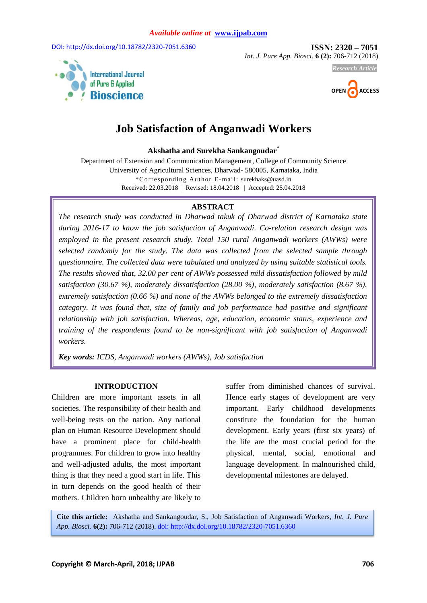DOI: http://dx.doi.org/10.18782/2320-7051.6360 **ISSN: 2320 – 7051** 

*Int. J. Pure App. Biosci.* **6 (2):** 706-712 (2018)



# *Research Article*



# **Job Satisfaction of Anganwadi Workers**

**Akshatha and Surekha Sankangoudar\***

Department of Extension and Communication Management, College of Community Science University of Agricultural Sciences, Dharwad- 580005, Karnataka, India \*Corresponding Au thor E-mail: surekhaks@uasd.in Received: 22.03.2018 | Revised: 18.04.2018 | Accepted: 25.04.2018

#### **ABSTRACT**

*The research study was conducted in Dharwad takuk of Dharwad district of Karnataka state during 2016-17 to know the job satisfaction of Anganwadi. Co-relation research design was employed in the present research study. Total 150 rural Anganwadi workers (AWWs) were selected randomly for the study. The data was collected from the selected sample through questionnaire. The collected data were tabulated and analyzed by using suitable statistical tools. The results showed that, 32.00 per cent of AWWs possessed mild dissatisfaction followed by mild satisfaction (30.67 %), moderately dissatisfaction (28.00 %), moderately satisfaction (8.67 %), extremely satisfaction (0.66 %) and none of the AWWs belonged to the extremely dissatisfaction category. It was found that, size of family and job performance had positive and significant relationship with job satisfaction. Whereas, age, education, economic status, experience and training of the respondents found to be non-significant with job satisfaction of Anganwadi workers.* 

*Key words: ICDS, Anganwadi workers (AWWs), Job satisfaction*

#### **INTRODUCTION**

Children are more important assets in all societies. The responsibility of their health and well-being rests on the nation. Any national plan on Human Resource Development should have a prominent place for child-health programmes. For children to grow into healthy and well-adjusted adults, the most important thing is that they need a good start in life. This in turn depends on the good health of their mothers. Children born unhealthy are likely to

suffer from diminished chances of survival. Hence early stages of development are very important. Early childhood developments constitute the foundation for the human development. Early years (first six years) of the life are the most crucial period for the physical, mental, social, emotional and language development. In malnourished child, developmental milestones are delayed.

**Cite this article:** Akshatha and Sankangoudar, S., Job Satisfaction of Anganwadi Workers, *Int. J. Pure App. Biosci.* **6(2):** 706-712 (2018). doi: http://dx.doi.org/10.18782/2320-7051.6360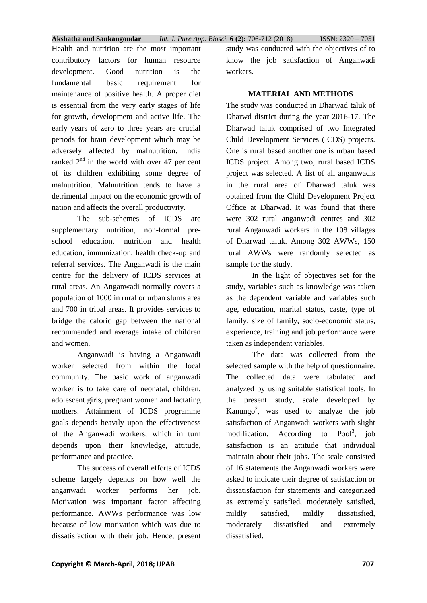Health and nutrition are the most important contributory factors for human resource development. Good nutrition is the fundamental basic requirement for maintenance of positive health. A proper diet is essential from the very early stages of life for growth, development and active life. The early years of zero to three years are crucial periods for brain development which may be adversely affected by malnutrition. India ranked  $2<sup>nd</sup>$  in the world with over 47 per cent of its children exhibiting some degree of malnutrition. Malnutrition tends to have a detrimental impact on the economic growth of nation and affects the overall productivity.

The sub-schemes of ICDS are supplementary nutrition, non-formal preschool education, nutrition and health education, immunization, health check-up and referral services. The Anganwadi is the main centre for the delivery of ICDS services at rural areas. An Anganwadi normally covers a population of 1000 in rural or urban slums area and 700 in tribal areas. It provides services to bridge the caloric gap between the national recommended and average intake of children and women.

Anganwadi is having a Anganwadi worker selected from within the local community. The basic work of anganwadi worker is to take care of neonatal, children, adolescent girls, pregnant women and lactating mothers. Attainment of ICDS programme goals depends heavily upon the effectiveness of the Anganwadi workers, which in turn depends upon their knowledge, attitude, performance and practice.

The success of overall efforts of ICDS scheme largely depends on how well the anganwadi worker performs her job. Motivation was important factor affecting performance. AWWs performance was low because of low motivation which was due to dissatisfaction with their job. Hence, present study was conducted with the objectives of to know the job satisfaction of Anganwadi workers.

#### **MATERIAL AND METHODS**

The study was conducted in Dharwad taluk of Dharwd district during the year 2016-17. The Dharwad taluk comprised of two Integrated Child Development Services (ICDS) projects. One is rural based another one is urban based ICDS project. Among two, rural based ICDS project was selected. A list of all anganwadis in the rural area of Dharwad taluk was obtained from the Child Development Project Office at Dharwad. It was found that there were 302 rural anganwadi centres and 302 rural Anganwadi workers in the 108 villages of Dharwad taluk. Among 302 AWWs, 150 rural AWWs were randomly selected as sample for the study.

In the light of objectives set for the study, variables such as knowledge was taken as the dependent variable and variables such age, education, marital status, caste, type of family, size of family, socio-economic status, experience, training and job performance were taken as independent variables.

The data was collected from the selected sample with the help of questionnaire. The collected data were tabulated and analyzed by using suitable statistical tools. In the present study, scale developed by Kanungo<sup>2</sup>, was used to analyze the job satisfaction of Anganwadi workers with slight modification. According to  $Pool<sup>3</sup>$ , job satisfaction is an attitude that individual maintain about their jobs. The scale consisted of 16 statements the Anganwadi workers were asked to indicate their degree of satisfaction or dissatisfaction for statements and categorized as extremely satisfied, moderately satisfied, mildly satisfied, mildly dissatisfied, moderately dissatisfied and extremely dissatisfied.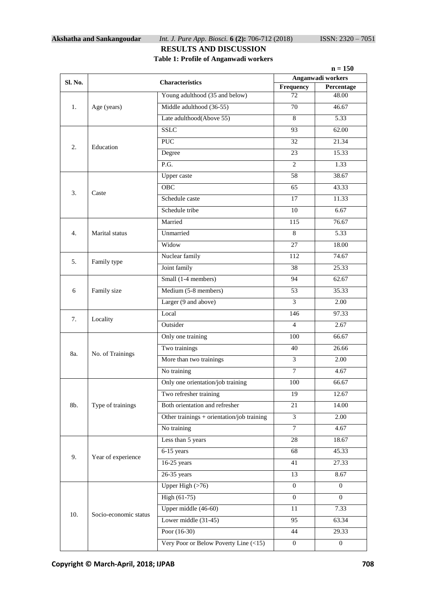#### **Akshatha and Sankangoudar** *Int. J. Pure App. Biosci.* **6 (2):** 706-712 (2018) ISSN: 2320 – 7051

#### **RESULTS AND DISCUSSION Table 1: Profile of Anganwadi workers**

|         |                        |                                            | $n = 150$                                    |                  |  |
|---------|------------------------|--------------------------------------------|----------------------------------------------|------------------|--|
| Sl. No. | <b>Characteristics</b> |                                            | Anganwadi workers<br>Frequency<br>Percentage |                  |  |
|         |                        | Young adulthood (35 and below)             | 72                                           | 48.00            |  |
| 1.      | Age (years)            | Middle adulthood (36-55)                   | 70                                           | 46.67            |  |
|         |                        | Late adulthood(Above 55)                   | 8                                            | 5.33             |  |
| 2.      | Education              | <b>SSLC</b>                                | 93                                           | 62.00            |  |
|         |                        | <b>PUC</b>                                 | 32                                           | 21.34            |  |
|         |                        | Degree                                     | 23                                           | 15.33            |  |
|         |                        | $\overline{P.G.}$                          | 2                                            | 1.33             |  |
|         |                        | Upper caste                                | 58                                           | 38.67            |  |
|         |                        | <b>OBC</b>                                 | 65                                           | 43.33            |  |
| 3.      | Caste                  | Schedule caste                             | 17                                           | 11.33            |  |
|         |                        | Schedule tribe                             | 10                                           | 6.67             |  |
|         | Marital status         | Married                                    | 115                                          | 76.67            |  |
| 4.      |                        | Unmarried                                  | 8                                            | 5.33             |  |
|         |                        | Widow                                      | 27                                           | 18.00            |  |
|         | Family type            | Nuclear family                             | 112                                          | 74.67            |  |
| 5.      |                        | Joint family                               | 38                                           | 25.33            |  |
|         |                        | Small (1-4 members)                        | 94                                           | 62.67            |  |
| 6       | Family size            | Medium (5-8 members)                       | 53                                           | 35.33            |  |
|         |                        | Larger (9 and above)                       | $\overline{3}$                               | 2.00             |  |
|         | Locality               | Local                                      | 146                                          | 97.33            |  |
| 7.      |                        | Outsider                                   | 4                                            | 2.67             |  |
|         | No. of Trainings       | Only one training                          | 100                                          | 66.67            |  |
|         |                        | Two trainings                              | 40                                           | 26.66            |  |
| 8a.     |                        | More than two trainings                    | $\overline{3}$                               | 2.00             |  |
|         |                        | No training                                | $\overline{7}$                               | 4.67             |  |
|         | Type of trainings      | Only one orientation/job training          | 100                                          | 66.67            |  |
|         |                        | Two refresher training                     | 19                                           | 12.67            |  |
| 8b.     |                        | Both orientation and refresher             | 21                                           | 14.00            |  |
|         |                        | Other trainings + orientation/job training | 3                                            | 2.00             |  |
|         |                        | No training                                | $\tau$                                       | 4.67             |  |
|         | Year of experience     | Less than 5 years                          | 28                                           | 18.67            |  |
| 9.      |                        | $6-15$ years                               | 68                                           | 45.33            |  |
|         |                        | $16-25$ years                              | 41                                           | 27.33            |  |
|         |                        | $26-35$ years                              | 13                                           | 8.67             |  |
|         | Socio-economic status  | Upper High $($ >76 $)$                     | $\overline{0}$                               | $\overline{0}$   |  |
|         |                        | High (61-75)                               | $\boldsymbol{0}$                             | $\Omega$         |  |
| 10.     |                        | Upper middle (46-60)                       | 11                                           | 7.33             |  |
|         |                        | Lower middle (31-45)                       | 95                                           | 63.34            |  |
|         |                        | Poor $(16-30)$                             | 44                                           | 29.33            |  |
|         |                        | Very Poor or Below Poverty Line (<15)      | $\boldsymbol{0}$                             | $\boldsymbol{0}$ |  |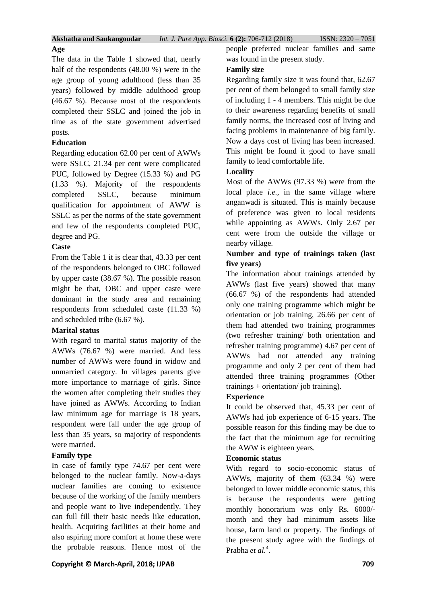# **Age**

The data in the Table 1 showed that, nearly half of the respondents (48.00 %) were in the age group of young adulthood (less than 35 years) followed by middle adulthood group (46.67 %). Because most of the respondents completed their SSLC and joined the job in time as of the state government advertised posts.

#### **Education**

Regarding education 62.00 per cent of AWWs were SSLC, 21.34 per cent were complicated PUC, followed by Degree (15.33 %) and PG (1.33 %). Majority of the respondents completed SSLC, because minimum qualification for appointment of AWW is SSLC as per the norms of the state government and few of the respondents completed PUC, degree and PG.

# **Caste**

From the Table 1 it is clear that, 43.33 per cent of the respondents belonged to OBC followed by upper caste (38.67 %). The possible reason might be that, OBC and upper caste were dominant in the study area and remaining respondents from scheduled caste (11.33 %) and scheduled tribe (6.67 %).

# **Marital status**

With regard to marital status majority of the AWWs (76.67 %) were married. And less number of AWWs were found in widow and unmarried category. In villages parents give more importance to marriage of girls. Since the women after completing their studies they have joined as AWWs. According to Indian law minimum age for marriage is 18 years, respondent were fall under the age group of less than 35 years, so majority of respondents were married.

# **Family type**

In case of family type 74.67 per cent were belonged to the nuclear family. Now-a-days nuclear families are coming to existence because of the working of the family members and people want to live independently. They can full fill their basic needs like education, health. Acquiring facilities at their home and also aspiring more comfort at home these were the probable reasons. Hence most of the people preferred nuclear families and same was found in the present study.

# **Family size**

Regarding family size it was found that, 62.67 per cent of them belonged to small family size of including 1 - 4 members. This might be due to their awareness regarding benefits of small family norms, the increased cost of living and facing problems in maintenance of big family. Now a days cost of living has been increased. This might be found it good to have small family to lead comfortable life.

# **Locality**

Most of the AWWs (97.33 %) were from the local place *i.e.*, in the same village where anganwadi is situated. This is mainly because of preference was given to local residents while appointing as AWWs. Only 2.67 per cent were from the outside the village or nearby village.

#### **Number and type of trainings taken (last five years)**

The information about trainings attended by AWWs (last five years) showed that many (66.67 %) of the respondents had attended only one training programme which might be orientation or job training, 26.66 per cent of them had attended two training programmes (two refresher training/ both orientation and refresher training programme) 4.67 per cent of AWWs had not attended any training programme and only 2 per cent of them had attended three training programmes (Other trainings + orientation/ job training).

# **Experience**

It could be observed that, 45.33 per cent of AWWs had job experience of 6-15 years. The possible reason for this finding may be due to the fact that the minimum age for recruiting the AWW is eighteen years.

# **Economic status**

With regard to socio-economic status of AWWs, majority of them (63.34 %) were belonged to lower middle economic status, this is because the respondents were getting monthly honorarium was only Rs. 6000/ month and they had minimum assets like house, farm land or property. The findings of the present study agree with the findings of Prabha et al.<sup>4</sup>.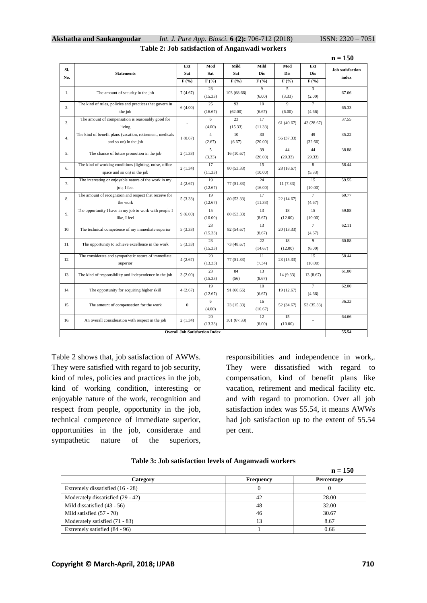|                                       |                                                                                        |                                      |                          |                                        |                          |                          |                                      | $n = 150$               |
|---------------------------------------|----------------------------------------------------------------------------------------|--------------------------------------|--------------------------|----------------------------------------|--------------------------|--------------------------|--------------------------------------|-------------------------|
| Sl.                                   | <b>Statements</b>                                                                      | Ext<br>Sat                           | Mod<br>Sat               | Mild<br>Sat                            | Mild<br><b>Dis</b>       | Mod<br><b>Dis</b>        | Ext<br>Dis                           | <b>Job</b> satisfaction |
| No.                                   |                                                                                        | $\overline{\mathbf{F}(\mathcal{C})}$ | $\overline{F(°_0)}$      | $\overline{\mathbf{F}(\mathcal{V}_0)}$ | $\overline{F(\%)}$       | $\overline{F(\%)}$       | $\overline{\mathbf{F}(\mathcal{H})}$ | index                   |
| 1.                                    | The amount of security in the job                                                      |                                      | 23<br>(15.33)            | 103 (68.66)                            | $\overline{9}$<br>(6.00) | 5<br>(3.33)              | 3<br>(2.00)                          | 67.66                   |
| 2.                                    | The kind of rules, policies and practices that govern in<br>the job                    | 6(4.00)                              | 25<br>(16.67)            | 93<br>(62.00)                          | 10<br>(6.67)             | $\overline{9}$<br>(6.00) | $\tau$<br>(4.66)                     | 65.33                   |
| 3.                                    | The amount of compensation is reasonably good for<br>living                            | ÷,                                   | 6<br>(4.00)              | 23<br>(15.33)                          | 17<br>(11.33)            | 61(40.67)                | 43 (28.67)                           | 37.55                   |
| 4.                                    | The kind of benefit plans (vacation, retirement, medicals<br>and so on) in the job     | 1(0.67)                              | $\overline{4}$<br>(2.67) | 10<br>(6.67)                           | 30<br>(20.00)            | 56 (37.33)               | 49<br>(32.66)                        | 35.22                   |
| 5.                                    | The chance of future promotion in the job                                              | 2(1.33)                              | $\overline{5}$<br>(3.33) | 16(10.67)                              | 39<br>(26.00)            | 44<br>(29.33)            | 44<br>29.33)                         | 38.88                   |
| 6.                                    | The kind of working conditions (lighting, noise, office<br>space and so on) in the job | 2(1.34)                              | 17<br>(11.33)            | 80 (53.33)                             | 15<br>(10.00)            | 28 (18.67)               | 8<br>(5.33)                          | 58.44                   |
| 7.                                    | The interesting or enjoyable nature of the work in my<br>job, I feel                   | 4(2.67)                              | 19<br>(12.67)            | 77 (51.33)                             | 24<br>(16.00)            | 11(7.33)                 | 15<br>(10.00)                        | 59.55                   |
| 8.                                    | The amount of recognition and respect that receive for<br>the work                     | 5(3.33)                              | 19<br>(12.67)            | 80 (53.33)                             | 17<br>(11.33)            | 22 (14.67)               | $\overline{7}$<br>(4.67)             | 60.77                   |
| 9.                                    | The opportunity I have in my job to work with people I<br>like, I feel                 | 9(6.00)                              | 15<br>(10.00)            | 80 (53.33)                             | 13<br>(8.67)             | 18<br>(12.00)            | 15<br>(10.00)                        | 59.88                   |
| 10.                                   | The technical competence of my immediate superior                                      | 5(3.33)                              | 23<br>(15.33)            | 82 (54.67)                             | 13<br>(8.67)             | 20(13.33)                | $\tau$<br>(4.67)                     | 62.11                   |
| 11.                                   | The opportunity to achieve excellence in the work                                      | 5(3.33)                              | 23<br>(15.33)            | 73 (48.67)                             | 22<br>(14.67)            | 18<br>(12.00)            | 9<br>(6.00)                          | 60.88                   |
| 12.                                   | The considerate and sympathetic nature of immediate<br>superior                        | 4(2.67)                              | 20<br>(13.33)            | 77 (51.33)                             | 11<br>(7.34)             | 23 (15.33)               | 15<br>(10.00)                        | 58.44                   |
| 13.                                   | The kind of responsibility and independence in the job                                 | 3(2.00)                              | 23<br>(15.33)            | 84<br>(56)                             | 13<br>(8.67)             | 14 (9.33)                | 13 (8.67)                            | 61.00                   |
| 14.                                   | The opportunity for acquiring higher skill                                             | 4(2.67)                              | 19<br>(12.67)            | 91 (60.66)                             | 10<br>(6.67)             | 19 (12.67)               | $\overline{7}$<br>(4.66)             | 62.00                   |
| 15.                                   | The amount of compensation for the work                                                | $\boldsymbol{0}$                     | 6<br>(4.00)              | 23 (15.33)                             | 16<br>(10.67)            | 52 (34.67)               | 53 (35.33)                           | 36.33                   |
| 16.                                   | An overall consideration with respect in the job                                       | 2(1.34)                              | 20<br>(13.33)            | 101(67.33)                             | 12<br>(8.00)             | 15<br>(10.00)            | $\overline{a}$                       | 64.66                   |
| <b>Overall Job Satisfaction Index</b> |                                                                                        |                                      |                          |                                        | 55.54                    |                          |                                      |                         |

#### **Akshatha and Sankangoudar** *Int. J. Pure App. Biosci.* **6 (2):** 706-712 (2018) ISSN: 2320 – 7051 **Table 2: Job satisfaction of Anganwadi workers**

Table 2 shows that, job satisfaction of AWWs. They were satisfied with regard to job security, kind of rules, policies and practices in the job, kind of working condition, interesting or enjoyable nature of the work, recognition and respect from people, opportunity in the job, technical competence of immediate superior, opportunities in the job, considerate and sympathetic nature of the superiors,

responsibilities and independence in work,. They were dissatisfied with regard to compensation, kind of benefit plans like vacation, retirement and medical facility etc. and with regard to promotion. Over all job satisfaction index was 55.54, it means AWWs had job satisfaction up to the extent of 55.54 per cent.

|  |  | Table 3: Job satisfaction levels of Anganwadi workers |  |
|--|--|-------------------------------------------------------|--|
|  |  |                                                       |  |

|                                   |                  | $n = 150$  |
|-----------------------------------|------------------|------------|
| Category                          | <b>Frequency</b> | Percentage |
| Extremely dissatisfied (16 - 28)  |                  |            |
| Moderately dissatisfied (29 - 42) | 42               | 28.00      |
| Mild dissatisfied $(43 - 56)$     | 48               | 32.00      |
| Mild satisfied $(57 - 70)$        | 46               | 30.67      |
| Moderately satisfied (71 - 83)    |                  | 8.67       |
| Extremely satisfied (84 - 96)     |                  | 0.66       |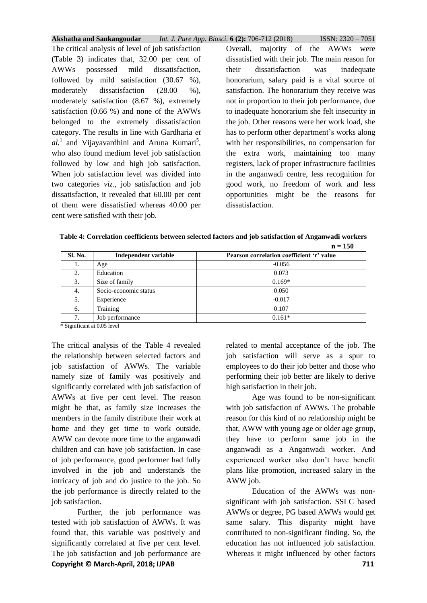**Akshatha and Sankangoudar** *Int. J. Pure App. Biosci.* **6 (2):** 706-712 (2018) ISSN: 2320 – 7051

The critical analysis of level of job satisfaction (Table 3) indicates that, 32.00 per cent of AWWs possessed mild dissatisfaction, followed by mild satisfaction (30.67 %), moderately dissatisfaction (28.00 %), moderately satisfaction (8.67 %), extremely satisfaction (0.66 %) and none of the AWWs belonged to the extremely dissatisfaction category. The results in line with Gardharia *et*   $al.$ <sup>1</sup> and Vijayavardhini and Aruna Kumari<sup>5</sup>, who also found medium level job satisfaction followed by low and high job satisfaction. When job satisfaction level was divided into two categories *viz.,* job satisfaction and job dissatisfaction, it revealed that 60.00 per cent of them were dissatisfied whereas 40.00 per cent were satisfied with their job.

Overall, majority of the AWWs were dissatisfied with their job. The main reason for their dissatisfaction was inadequate honorarium, salary paid is a vital source of satisfaction. The honorarium they receive was not in proportion to their job performance, due to inadequate honorarium she felt insecurity in the job. Other reasons were her work load, she has to perform other department's works along with her responsibilities, no compensation for the extra work, maintaining too many registers, lack of proper infrastructure facilities in the anganwadi centre, less recognition for good work, no freedom of work and less opportunities might be the reasons for dissatisfaction.

| Table 4: Correlation coefficients between selected factors and job satisfaction of Anganwadi workers |
|------------------------------------------------------------------------------------------------------|
| $n - 150$                                                                                            |

|         |                       | $\mathbf{u} - \mathbf{v}$                 |
|---------|-----------------------|-------------------------------------------|
| Sl. No. | Independent variable  | Pearson correlation coefficient 'r' value |
| 1.      | Age                   | $-0.056$                                  |
| 2.      | Education             | 0.073                                     |
| 3.      | Size of family        | $0.169*$                                  |
| 4.      | Socio-economic status | 0.050                                     |
| 5.      | Experience            | $-0.017$                                  |
| 6.      | Training              | 0.107                                     |
| 7.      | Job performance       | $0.161*$                                  |
| .       | .                     |                                           |

\* Significant at 0.05 level

The critical analysis of the Table 4 revealed the relationship between selected factors and job satisfaction of AWWs. The variable namely size of family was positively and significantly correlated with job satisfaction of AWWs at five per cent level. The reason might be that, as family size increases the members in the family distribute their work at home and they get time to work outside. AWW can devote more time to the anganwadi children and can have job satisfaction. In case of job performance, good performer had fully involved in the job and understands the intricacy of job and do justice to the job. So the job performance is directly related to the job satisfaction.

**Copyright © March-April, 2018; IJPAB 711** Further, the job performance was tested with job satisfaction of AWWs. It was found that, this variable was positively and significantly correlated at five per cent level. The job satisfaction and job performance are

related to mental acceptance of the job. The job satisfaction will serve as a spur to employees to do their job better and those who performing their job better are likely to derive high satisfaction in their job.

Age was found to be non-significant with job satisfaction of AWWs. The probable reason for this kind of no relationship might be that, AWW with young age or older age group, they have to perform same job in the anganwadi as a Anganwadi worker. And experienced worker also don't have benefit plans like promotion, increased salary in the AWW job.

Education of the AWWs was nonsignificant with job satisfaction. SSLC based AWWs or degree, PG based AWWs would get same salary. This disparity might have contributed to non-significant finding. So, the education has not influenced job satisfaction. Whereas it might influenced by other factors